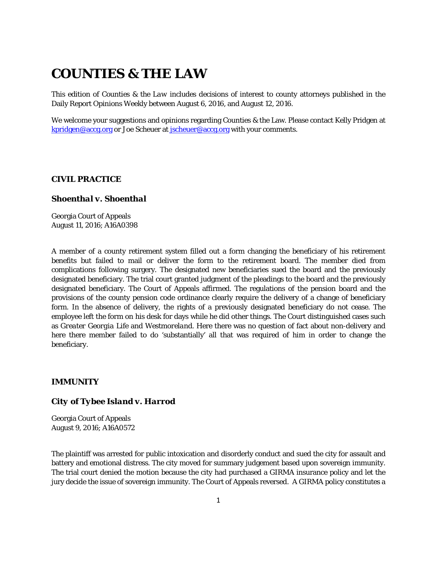# **COUNTIES & THE LAW**

This edition of *Counties & the Law* includes decisions of interest to county attorneys published in the Daily Report Opinions Weekly between August 6, 2016, and August 12, 2016.

We welcome your suggestions and opinions regarding Counties & the Law. Please contact Kelly Pridgen at [kpridgen@accg.org](mailto:kpridgen@accg.org) or Joe Scheuer at [jscheuer@accg.org](mailto:jscheuer@accg.org) with your comments.

#### *CIVIL PRACTICE*

#### *Shoenthal v. Shoenthal*

Georgia Court of Appeals August 11, 2016; A16A0398

A member of a county retirement system filled out a form changing the beneficiary of his retirement benefits but failed to mail or deliver the form to the retirement board. The member died from complications following surgery. The designated new beneficiaries sued the board and the previously designated beneficiary. The trial court granted judgment of the pleadings to the board and the previously designated beneficiary. The Court of Appeals affirmed. The regulations of the pension board and the provisions of the county pension code ordinance clearly require the delivery of a change of beneficiary form. In the absence of delivery, the rights of a previously designated beneficiary do not cease. The employee left the form on his desk for days while he did other things. The Court distinguished cases such as *Greater Georgia Life* and *Westmoreland*. Here there was no question of fact about non-delivery and here there member failed to do 'substantially' all that was required of him in order to change the beneficiary.

## *IMMUNITY*

#### *City of Tybee Island v. Harrod*

Georgia Court of Appeals August 9, 2016; A16A0572

The plaintiff was arrested for public intoxication and disorderly conduct and sued the city for assault and battery and emotional distress. The city moved for summary judgement based upon sovereign immunity. The trial court denied the motion because the city had purchased a GIRMA insurance policy and let the jury decide the issue of sovereign immunity. The Court of Appeals reversed. A GIRMA policy constitutes a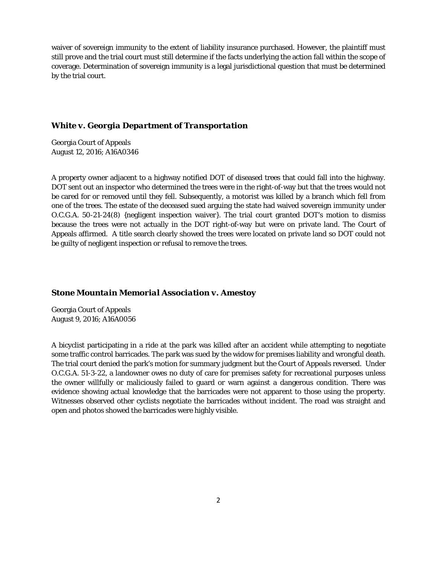waiver of sovereign immunity to the extent of liability insurance purchased. However, the plaintiff must still prove and the trial court must still determine if the facts underlying the action fall within the scope of coverage. Determination of sovereign immunity is a legal jurisdictional question that must be determined by the trial court.

## *White v. Georgia Department of Transportation*

Georgia Court of Appeals August 12, 2016; A16A0346

A property owner adjacent to a highway notified DOT of diseased trees that could fall into the highway. DOT sent out an inspector who determined the trees were in the right-of-way but that the trees would not be cared for or removed until they fell. Subsequently, a motorist was killed by a branch which fell from one of the trees. The estate of the deceased sued arguing the state had waived sovereign immunity under O.C.G.A. 50-21-24(8) {negligent inspection waiver}. The trial court granted DOT's motion to dismiss because the trees were not actually in the DOT right-of-way but were on private land. The Court of Appeals affirmed. A title search clearly showed the trees were located on private land so DOT could not be guilty of negligent inspection or refusal to remove the trees.

#### *Stone Mountain Memorial Association v. Amestoy*

Georgia Court of Appeals August 9, 2016; A16A0056

A bicyclist participating in a ride at the park was killed after an accident while attempting to negotiate some traffic control barricades. The park was sued by the widow for premises liability and wrongful death. The trial court denied the park's motion for summary judgment but the Court of Appeals reversed. Under O.C.G.A. 51-3-22, a landowner owes no duty of care for premises safety for recreational purposes unless the owner willfully or maliciously failed to guard or warn against a dangerous condition. There was evidence showing actual knowledge that the barricades were not apparent to those using the property. Witnesses observed other cyclists negotiate the barricades without incident. The road was straight and open and photos showed the barricades were highly visible.